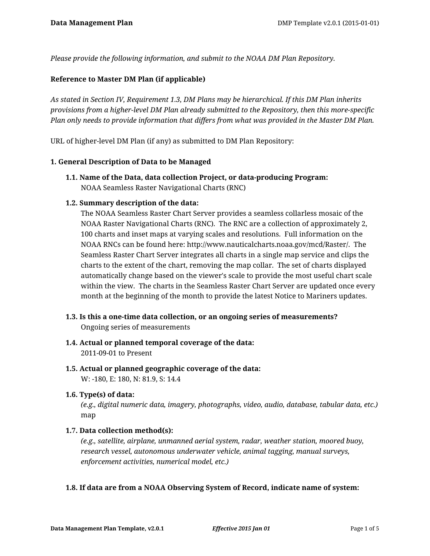*Please provide the following information, and submit to the NOAA DM Plan Repository.*

### **Reference to Master DM Plan (if applicable)**

*As stated in Section IV, Requirement 1.3, DM Plans may be hierarchical. If this DM Plan inherits provisions from a higher-level DM Plan already submitted to the Repository, then this more-specific Plan only needs to provide information that differs from what was provided in the Master DM Plan.*

URL of higher-level DM Plan (if any) as submitted to DM Plan Repository:

#### **1. General Description of Data to be Managed**

**1.1. Name of the Data, data collection Project, or data-producing Program:** NOAA Seamless Raster Navigational Charts (RNC)

### **1.2. Summary description of the data:**

The NOAA Seamless Raster Chart Server provides a seamless collarless mosaic of the NOAA Raster Navigational Charts (RNC). The RNC are a collection of approximately 2, 100 charts and inset maps at varying scales and resolutions. Full information on the NOAA RNCs can be found here: http://www.nauticalcharts.noaa.gov/mcd/Raster/. The Seamless Raster Chart Server integrates all charts in a single map service and clips the charts to the extent of the chart, removing the map collar. The set of charts displayed automatically change based on the viewer's scale to provide the most useful chart scale within the view. The charts in the Seamless Raster Chart Server are updated once every month at the beginning of the month to provide the latest Notice to Mariners updates.

- **1.3. Is this a one-time data collection, or an ongoing series of measurements?** Ongoing series of measurements
- **1.4. Actual or planned temporal coverage of the data:** 2011-09-01 to Present
- **1.5. Actual or planned geographic coverage of the data:** W: -180, E: 180, N: 81.9, S: 14.4
- **1.6. Type(s) of data:**

*(e.g., digital numeric data, imagery, photographs, video, audio, database, tabular data, etc.)* map

#### **1.7. Data collection method(s):**

*(e.g., satellite, airplane, unmanned aerial system, radar, weather station, moored buoy, research vessel, autonomous underwater vehicle, animal tagging, manual surveys, enforcement activities, numerical model, etc.)*

#### **1.8. If data are from a NOAA Observing System of Record, indicate name of system:**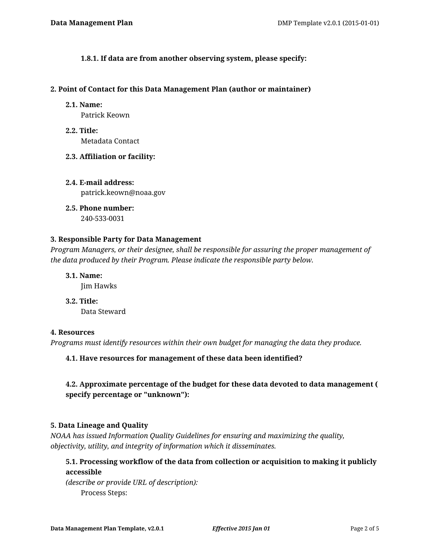**1.8.1. If data are from another observing system, please specify:**

#### **2. Point of Contact for this Data Management Plan (author or maintainer)**

**2.1. Name:**

Patrick Keown

- **2.2. Title:** Metadata Contact
- **2.3. Affiliation or facility:**
- **2.4. E-mail address:** patrick.keown@noaa.gov
- **2.5. Phone number:** 240-533-0031

# **3. Responsible Party for Data Management**

*Program Managers, or their designee, shall be responsible for assuring the proper management of the data produced by their Program. Please indicate the responsible party below.*

**3.1. Name:**

Jim Hawks

**3.2. Title:** Data Steward

# **4. Resources**

*Programs must identify resources within their own budget for managing the data they produce.*

**4.1. Have resources for management of these data been identified?**

# **4.2. Approximate percentage of the budget for these data devoted to data management ( specify percentage or "unknown"):**

# **5. Data Lineage and Quality**

*NOAA has issued Information Quality Guidelines for ensuring and maximizing the quality, objectivity, utility, and integrity of information which it disseminates.*

**5.1. Processing workflow of the data from collection or acquisition to making it publicly accessible** 

*(describe or provide URL of description):* Process Steps: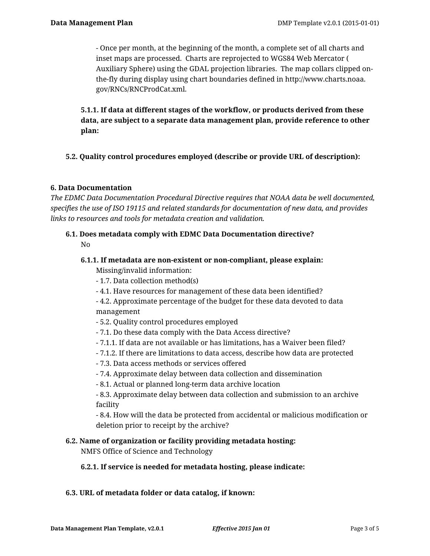- Once per month, at the beginning of the month, a complete set of all charts and inset maps are processed. Charts are reprojected to WGS84 Web Mercator ( Auxiliary Sphere) using the GDAL projection libraries. The map collars clipped onthe-fly during display using chart boundaries defined in http://www.charts.noaa. gov/RNCs/RNCProdCat.xml.

**5.1.1. If data at different stages of the workflow, or products derived from these data, are subject to a separate data management plan, provide reference to other plan:**

# **5.2. Quality control procedures employed (describe or provide URL of description):**

# **6. Data Documentation**

*The EDMC Data Documentation Procedural Directive requires that NOAA data be well documented, specifies the use of ISO 19115 and related standards for documentation of new data, and provides links to resources and tools for metadata creation and validation.*

# **6.1. Does metadata comply with EDMC Data Documentation directive?** No

# **6.1.1. If metadata are non-existent or non-compliant, please explain:**

Missing/invalid information:

- 1.7. Data collection method(s)
- 4.1. Have resources for management of these data been identified?

- 4.2. Approximate percentage of the budget for these data devoted to data management

- 5.2. Quality control procedures employed
- 7.1. Do these data comply with the Data Access directive?
- 7.1.1. If data are not available or has limitations, has a Waiver been filed?
- 7.1.2. If there are limitations to data access, describe how data are protected
- 7.3. Data access methods or services offered
- 7.4. Approximate delay between data collection and dissemination
- 8.1. Actual or planned long-term data archive location

- 8.3. Approximate delay between data collection and submission to an archive facility

- 8.4. How will the data be protected from accidental or malicious modification or deletion prior to receipt by the archive?

# **6.2. Name of organization or facility providing metadata hosting:**

NMFS Office of Science and Technology

#### **6.2.1. If service is needed for metadata hosting, please indicate:**

#### **6.3. URL of metadata folder or data catalog, if known:**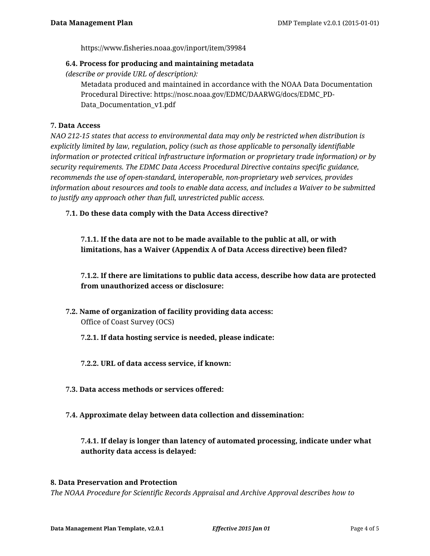https://www.fisheries.noaa.gov/inport/item/39984

### **6.4. Process for producing and maintaining metadata**

*(describe or provide URL of description):*

Metadata produced and maintained in accordance with the NOAA Data Documentation Procedural Directive: https://nosc.noaa.gov/EDMC/DAARWG/docs/EDMC\_PD-Data Documentation v1.pdf

# **7. Data Access**

*NAO 212-15 states that access to environmental data may only be restricted when distribution is explicitly limited by law, regulation, policy (such as those applicable to personally identifiable information or protected critical infrastructure information or proprietary trade information) or by security requirements. The EDMC Data Access Procedural Directive contains specific guidance, recommends the use of open-standard, interoperable, non-proprietary web services, provides information about resources and tools to enable data access, and includes a Waiver to be submitted to justify any approach other than full, unrestricted public access.*

**7.1. Do these data comply with the Data Access directive?**

**7.1.1. If the data are not to be made available to the public at all, or with limitations, has a Waiver (Appendix A of Data Access directive) been filed?**

**7.1.2. If there are limitations to public data access, describe how data are protected from unauthorized access or disclosure:**

**7.2. Name of organization of facility providing data access:** Office of Coast Survey (OCS)

**7.2.1. If data hosting service is needed, please indicate:**

**7.2.2. URL of data access service, if known:**

- **7.3. Data access methods or services offered:**
- **7.4. Approximate delay between data collection and dissemination:**

**7.4.1. If delay is longer than latency of automated processing, indicate under what authority data access is delayed:**

#### **8. Data Preservation and Protection**

*The NOAA Procedure for Scientific Records Appraisal and Archive Approval describes how to*